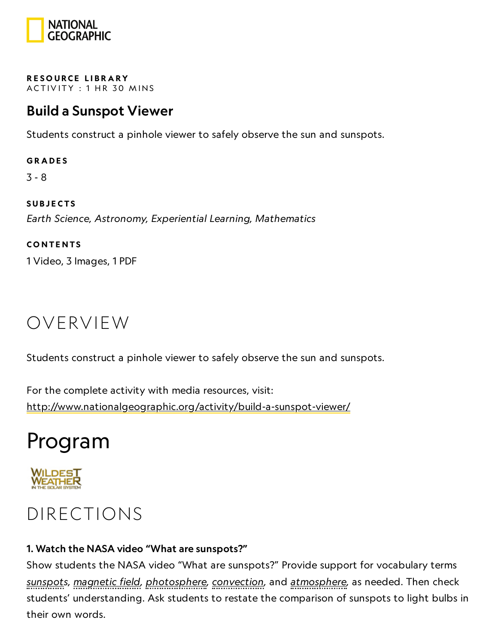

RESOURCE LIBRA[RY](https://www.nationalgeographic.org/education/resource-library/) ACTIVITY: 1 HR 30 MINS

## Build a Sunspot Viewer

Students construct a pinhole viewer to safely observe the sun and sunspots.

**GRADES** 3 - 8 **SUBJECTS** 

Earth Science, Astronomy, Experiential Learning, Mathematics **CONTENTS** 

1 Video, 3 Images, 1 PDF

## OVERVIEW

Students construct a pinhole viewer to safely observe the sun and sunspots.

For the complete activity with media resources, visit: <http://www.nationalgeographic.org/activity/build-a-sunspot-viewer/>

## Program



## DIRECTIONS

### 1. Watch the NASA video "What are sunspots?"

Show students the NASA video "What are sunspots?" Provide support for vocabulary terms sunspots, magnetic field, photosphere, convection, and atmosphere, as needed. Then check students' understanding. Ask students to restate the comparison of sunspots to light bulbs in their own words.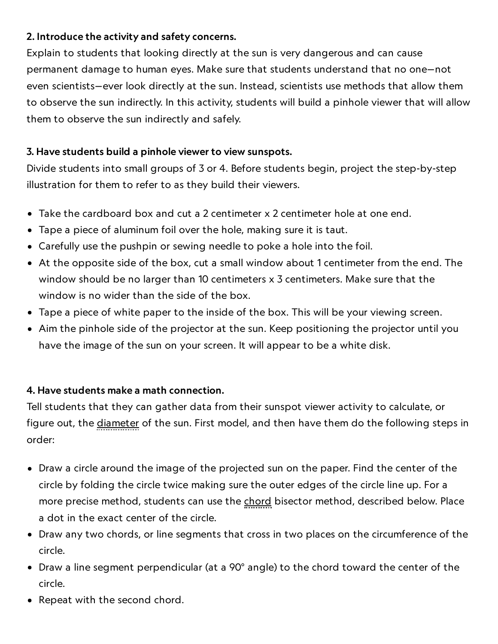### 2. Introduce the activity and safety concerns.

Explain to students that looking directly at the sun is very dangerous and can cause permanent damage to human eyes. Make sure that students understand that no one—not even scientists—ever look directly at the sun. Instead, scientists use methods that allow them to observe the sun indirectly. In this activity, students will build a pinhole viewer that will allow them to observe the sun indirectly and safely.

#### 3. Have students build a pinhole viewer to view sunspots.

Divide students into small groups of 3 or 4. Before students begin, project the step-by-step illustration for them to refer to as they build their viewers.

- Take the cardboard box and cut a 2 centimeter x 2 centimeter hole at one end.
- Tape a piece of aluminum foil over the hole, making sure it is taut.
- Carefully use the pushpin or sewing needle to poke a hole into the foil.
- At the opposite side of the box, cut a small window about 1 centimeter from the end. The window should be no larger than 10 centimeters x 3 centimeters. Make sure that the window is no wider than the side of the box.
- Tape a piece of white paper to the inside of the box. This will be your viewing screen.
- Aim the pinhole side of the projector at the sun. Keep positioning the projector until you have the image of the sun on your screen. It will appear to be a white disk.

#### 4. Have students make a math connection.

Tell students that they can gather data from their sunspot viewer activity to calculate, or figure out, the diameter of the sun. First model, and then have them do the following steps in order:

- Draw a circle around the image of the projected sun on the paper. Find the center of the circle by folding the circle twice making sure the outer edges of the circle line up. For a more precise method, students can use the chord bisector method, described below. Place a dot in the exact center of the circle.
- Draw any two chords, or line segments that cross in two places on the circumference of the circle.
- Draw a line segment perpendicular (at a 90° angle) to the chord toward the center of the circle.
- Repeat with the second chord.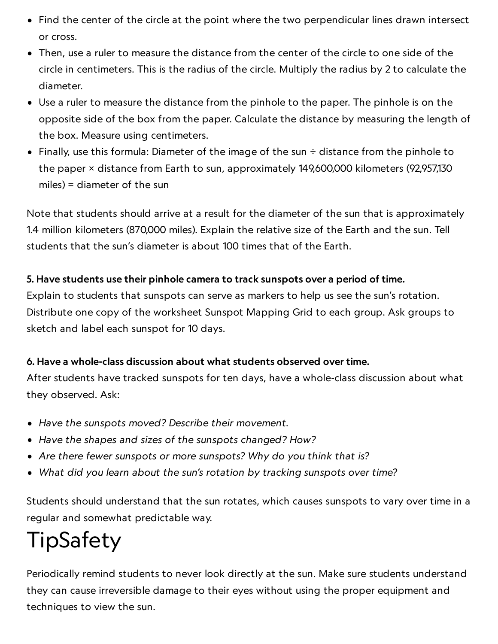- Find the center of the circle at the point where the two perpendicular lines drawn intersect or cross.
- Then, use a ruler to measure the distance from the center of the circle to one side of the circle in centimeters. This is the radius of the circle. Multiply the radius by 2 to calculate the diameter.
- Use a ruler to measure the distance from the pinhole to the paper. The pinhole is on the opposite side of the box from the paper. Calculate the distance by measuring the length of the box. Measure using centimeters.
- Finally, use this formula: Diameter of the image of the sun  $\div$  distance from the pinhole to the paper × distance from Earth to sun, approximately 149,600,000 kilometers (92,957,130 miles) = diameter of the sun

Note that students should arrive at a result for the diameter of the sun that is approximately 1.4 million kilometers (870,000 miles). Explain the relative size of the Earth and the sun. Tell students that the sun's diameter is about 100 times that of the Earth.

### 5. Have students use their pinhole camera to track sunspots over a period of time.

Explain to students that sunspots can serve as markers to help us see the sun's rotation. Distribute one copy of the worksheet Sunspot Mapping Grid to each group. Ask groups to sketch and label each sunspot for 10 days.

### 6. Have a whole-class discussion about what students observed over time.

After students have tracked sunspots for ten days, have a whole-class discussion about what they observed. Ask:

- Have the sunspots moved? Describe their movement.
- Have the shapes and sizes of the sunspots changed? How?
- Are there fewer sunspots or more sunspots? Why do you think that is?
- What did you learn about the sun's rotation by tracking sunspots over time?

Students should understand that the sun rotates, which causes sunspots to vary over time in a regular and somewhat predictable way.

## TipSafety

Periodically remind students to never look directly at the sun. Make sure students understand they can cause irreversible damage to their eyes without using the proper equipment and techniques to view the sun.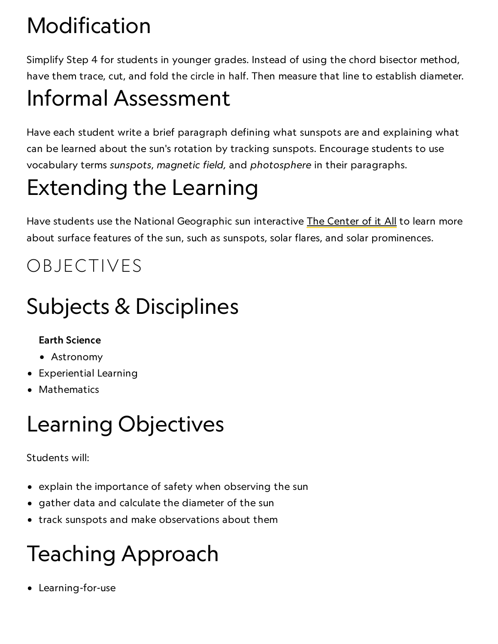# Modification

Simplify Step 4 for students in younger grades. Instead of using the chord bisector method, have them trace, cut, and fold the circle in half. Then measure that line to establish diameter.

## Informal Assessment

Have each student write a brief paragraph defining what sunspots are and explaining what can be learned about the sun's rotation by tracking sunspots. Encourage students to use vocabulary terms sunspots, magnetic field, and photosphere in their paragraphs.

# Extending the Learning

Have students use the National Geographic sun interactive The [Center](http://science.nationalgeographic.com/science/space/solar-system/sun-article.html) of it All to learn more about surface features of the sun, such as sunspots, solar flares, and solar prominences.

## OBJECTIVES

# Subjects & Disciplines

### Earth Science

- Astronomy
- Experiential Learning
- Mathematics

## Learning Objectives

### Students will:

- explain the importance of safety when observing the sun
- gather data and calculate the diameter of the sun
- track sunspots and make observations about them

# Teaching Approach

Learning-for-use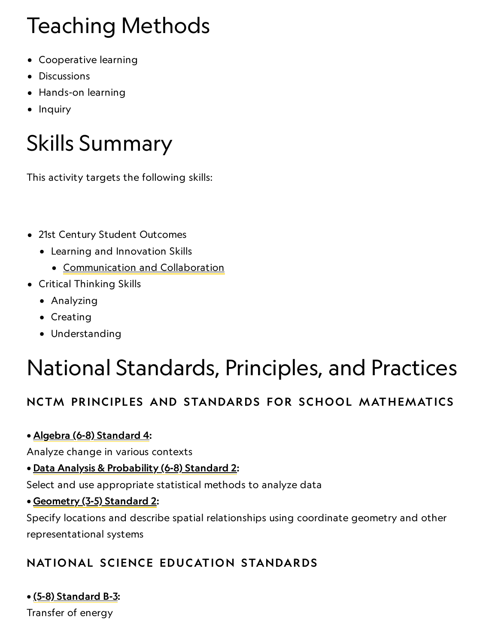# Teaching Methods

- Cooperative learning
- Discussions
- Hands-on learning
- Inquiry

# Skills Summary

This activity targets the following skills:

- 21st Century Student Outcomes
	- Learning and Innovation Skills
		- [Communication](http://www.p21.org/index.php?option=com_content&task=view&id=261&Itemid=120) and Collaboration
- Critical Thinking Skills
	- Analyzing
	- Creating
	- Understanding

## National Standards, Principles, and Practices

## NCTM PRINCIPLES AND STANDARDS FOR SCHOOL MATHEMATICS

• Algebra (6-8) [Standard](http://www.nctm.org/standards/content.aspx?id=26821) 4:

Analyze change in various contexts

• Data Analysis & [Probability](http://www.nctm.org/standards/content.aspx?id=26824) (6-8) Standard 2:

Select and use appropriate statistical methods to analyze data

• [Geometry](http://www.nctm.org/standards/content.aspx?id=26814) (3-5) Standard 2:

Specify locations and describe spatial relationships using coordinate geometry and other representational systems

## NATIONAL SCIENCE EDUCATION STANDARDS

### • (5-8) [Standard](http://www.nap.edu/openbook.php?record_id=4962&page=149) B-3:

Transfer of energy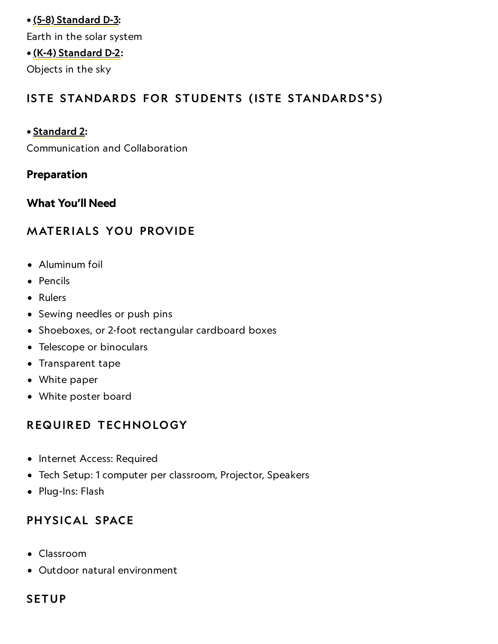### • (5-8) [Standard](http://www.nap.edu/openbook.php?record_id=4962&page=158) D-3: Earth in the solar system • (K-4) [Standard](http://www.nap.edu/openbook.php?record_id=4962&page=130) D-2: Objects in the sky

### ISTE STANDARDS FOR STUDENTS (ISTE STANDARDS\*S)

#### • [Standard](http://www.iste.org/standards/nets-for-students) 2:

Communication and Collaboration

#### Preparation

### What You'll Need

### **MATERIALS YOU PROVIDE**

- Aluminum foil
- Pencils
- Rulers
- Sewing needles or push pins
- Shoeboxes, or 2-foot rectangular cardboard boxes
- Telescope or binoculars
- Transparent tape
- White paper
- White poster board

### REQUIRED TECHNOLOGY

- Internet Access: Required
- Tech Setup: 1 computer per classroom, Projector, Speakers
- Plug-Ins: Flash

### PHYSICAL SPACE

- Classroom
- Outdoor natural environment

### **SETUP**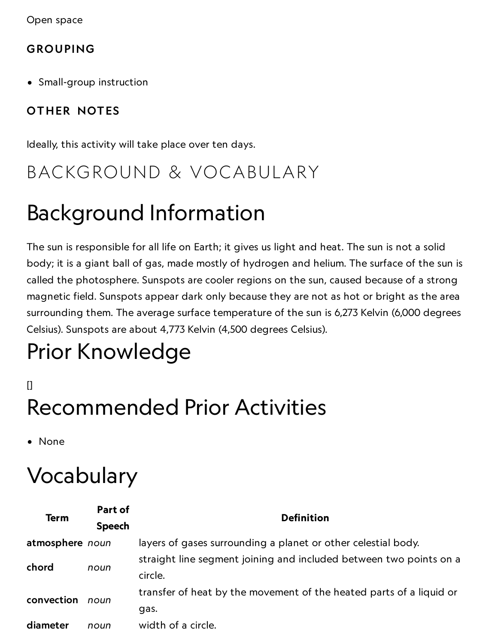Open space

### GROUPING

Small-group instruction

## OTHER NOTES

Ideally, this activity will take place over ten days.

## BACKGROUND & VOCABULARY

## Background Information

The sun is responsible for all life on Earth; it gives us light and heat. The sun is not a solid body; it is a giant ball of gas, made mostly of hydrogen and helium. The surface of the sun is called the photosphere. Sunspots are cooler regions on the sun, caused because of a strong magnetic field. Sunspots appear dark only because they are not as hot or bright as the area surrounding them. The average surface temperature of the sun is 6,273 Kelvin (6,000 degrees Celsius). Sunspots are about 4,773 Kelvin (4,500 degrees Celsius).

# Prior Knowledge

 $\mathsf{I}$ Recommended Prior Activities

• None

## Vocabulary

| <b>Term</b>     | Part of<br><b>Speech</b> | <b>Definition</b>                                                             |
|-----------------|--------------------------|-------------------------------------------------------------------------------|
| atmosphere noun |                          | layers of gases surrounding a planet or other celestial body.                 |
| chord           | noun                     | straight line segment joining and included between two points on a<br>circle. |
| convection      | noun                     | transfer of heat by the movement of the heated parts of a liquid or<br>gas.   |
| diameter        | noun                     | width of a circle.                                                            |